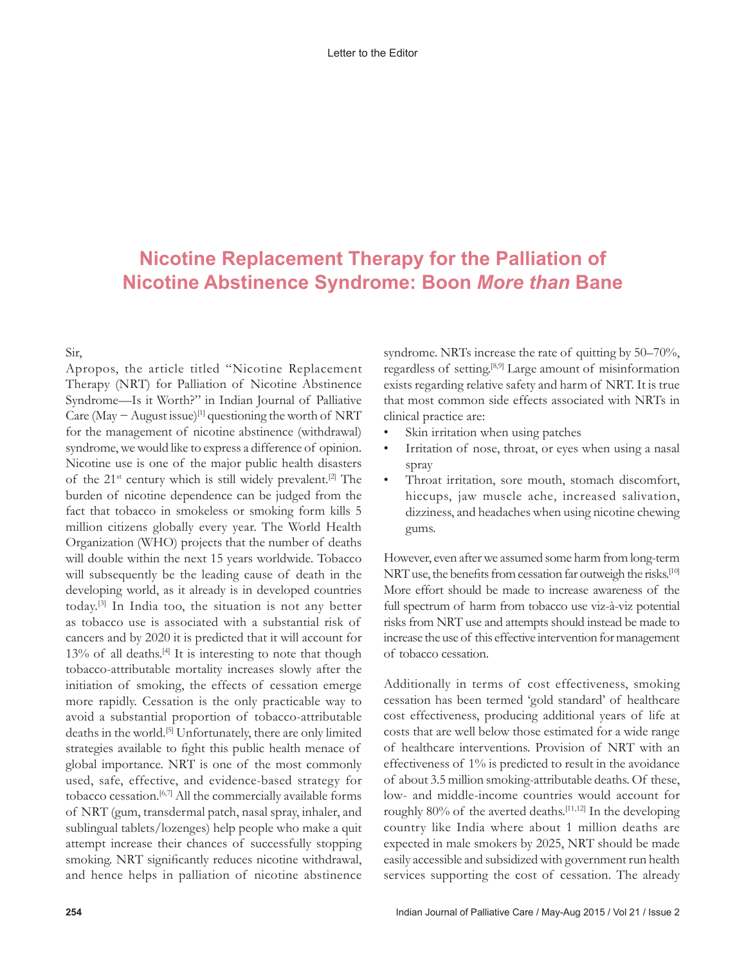## **Nicotine Replacement Therapy for the Palliation of Nicotine Abstinence Syndrome: Boon** *More than* **Bane**

Sir,

Apropos, the article titled "Nicotine Replacement Therapy (NRT) for Palliation of Nicotine Abstinence Syndrome—Is it Worth?" in Indian Journal of Palliative Care (May − August issue)[1] questioning the worth of NRT for the management of nicotine abstinence (withdrawal) syndrome, we would like to express a difference of opinion. Nicotine use is one of the major public health disasters of the  $21^{st}$  century which is still widely prevalent.<sup>[2]</sup> The burden of nicotine dependence can be judged from the fact that tobacco in smokeless or smoking form kills 5 million citizens globally every year. The World Health Organization (WHO) projects that the number of deaths will double within the next 15 years worldwide. Tobacco will subsequently be the leading cause of death in the developing world, as it already is in developed countries today.[3] In India too, the situation is not any better as tobacco use is associated with a substantial risk of cancers and by 2020 it is predicted that it will account for 13% of all deaths.[4] It is interesting to note that though tobacco-attributable mortality increases slowly after the initiation of smoking, the effects of cessation emerge more rapidly. Cessation is the only practicable way to avoid a substantial proportion of tobacco-attributable deaths in the world.[5] Unfortunately, there are only limited strategies available to fight this public health menace of global importance. NRT is one of the most commonly used, safe, effective, and evidence-based strategy for tobacco cessation.[6,7] All the commercially available forms of NRT (gum, transdermal patch, nasal spray, inhaler, and sublingual tablets/lozenges) help people who make a quit attempt increase their chances of successfully stopping smoking. NRT significantly reduces nicotine withdrawal, and hence helps in palliation of nicotine abstinence

syndrome. NRTs increase the rate of quitting by 50–70%, regardless of setting.[8,9] Large amount of misinformation exists regarding relative safety and harm of NRT. It is true that most common side effects associated with NRTs in clinical practice are:

- Skin irritation when using patches
- Irritation of nose, throat, or eyes when using a nasal spray
- Throat irritation, sore mouth, stomach discomfort, hiccups, jaw muscle ache, increased salivation, dizziness, and headaches when using nicotine chewing gums.

However, even after we assumed some harm from long-term NRT use, the benefits from cessation far outweigh the risks.<sup>[10]</sup> More effort should be made to increase awareness of the full spectrum of harm from tobacco use viz-à-viz potential risks from NRT use and attempts should instead be made to increase the use of this effective intervention for management of tobacco cessation.

Additionally in terms of cost effectiveness, smoking cessation has been termed 'gold standard' of healthcare cost effectiveness, producing additional years of life at costs that are well below those estimated for a wide range of healthcare interventions. Provision of NRT with an effectiveness of 1% is predicted to result in the avoidance of about 3.5 million smoking-attributable deaths. Of these, low- and middle-income countries would account for roughly  $80\%$  of the averted deaths.<sup>[11,12]</sup> In the developing country like India where about 1 million deaths are expected in male smokers by 2025, NRT should be made easily accessible and subsidized with government run health services supporting the cost of cessation. The already